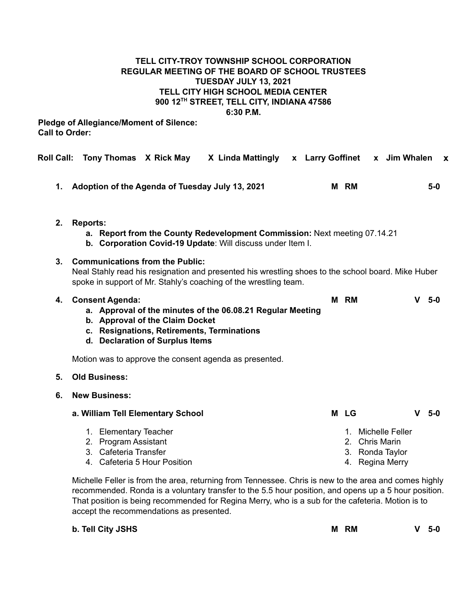# **TELL CITY-TROY TOWNSHIP SCHOOL CORPORATION REGULAR MEETING OF THE BOARD OF SCHOOL TRUSTEES TUESDAY JULY 13, 2021 TELL CITY HIGH SCHOOL MEDIA CENTER 900 12 TH STREET, TELL CITY, INDIANA 47586 6:30 P.M.**

**Pledge of Allegiance/Moment of Silence: Call to Order:**

| <b>Roll Call:</b> | Tony Thomas X Rick May X Linda Mattingly                                                                                                                                                                         |  | x Larry Goffinet x Jim Whalen                                              |   | $\mathbf{x}$ |
|-------------------|------------------------------------------------------------------------------------------------------------------------------------------------------------------------------------------------------------------|--|----------------------------------------------------------------------------|---|--------------|
| 1.                | Adoption of the Agenda of Tuesday July 13, 2021                                                                                                                                                                  |  | M RM                                                                       |   | $5-0$        |
| 2.                | <b>Reports:</b><br>a. Report from the County Redevelopment Commission: Next meeting 07.14.21<br>b. Corporation Covid-19 Update: Will discuss under Item I.                                                       |  |                                                                            |   |              |
| 3 <sub>1</sub>    | <b>Communications from the Public:</b><br>Neal Stahly read his resignation and presented his wrestling shoes to the school board. Mike Huber<br>spoke in support of Mr. Stahly's coaching of the wrestling team. |  |                                                                            |   |              |
| 4.                | <b>Consent Agenda:</b><br>a. Approval of the minutes of the 06.08.21 Regular Meeting<br>b. Approval of the Claim Docket<br>c. Resignations, Retirements, Terminations<br>d. Declaration of Surplus Items         |  | M RM                                                                       | v | - 5-0        |
|                   | Motion was to approve the consent agenda as presented.                                                                                                                                                           |  |                                                                            |   |              |
| 5.                | <b>Old Business:</b>                                                                                                                                                                                             |  |                                                                            |   |              |
| 6.                | <b>New Business:</b>                                                                                                                                                                                             |  |                                                                            |   |              |
|                   | a. William Tell Elementary School                                                                                                                                                                                |  | M LG                                                                       | v | 5-0          |
|                   | 1. Elementary Teacher<br>2. Program Assistant<br>Cafeteria Transfer<br>3.<br>4. Cafeteria 5 Hour Position                                                                                                        |  | 1. Michelle Feller<br>2. Chris Marin<br>3. Ronda Taylor<br>4. Regina Merry |   |              |

Michelle Feller is from the area, returning from Tennessee. Chris is new to the area and comes highly recommended. Ronda is a voluntary transfer to the 5.5 hour position, and opens up a 5 hour position. That position is being recommended for Regina Merry, who is a sub for the cafeteria. Motion is to accept the recommendations as presented.

**b. Tell City JSHS M RM V 5-0**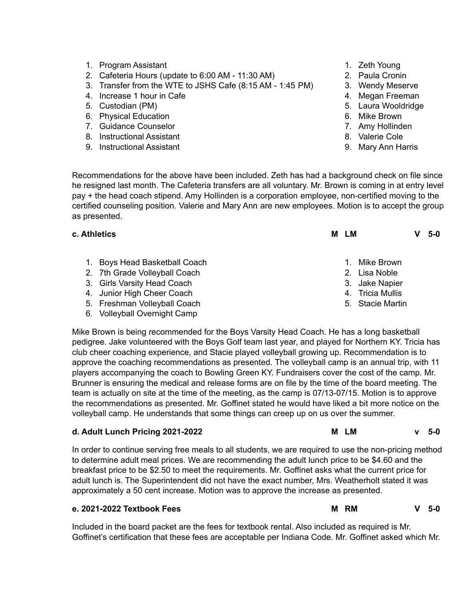- 1. Program Assistant
- 2. Cafeteria Hours (update to 6:00 AM 11:30 AM)
- 3. Transfer from the WTE to JSHS Cafe (8:15 AM 1:45 PM)
- 4. Increase 1 hour in Cafe
- 5. Custodian (PM)
- 6. Physical Education
- 7. Guidance Counselor
- 8. Instructional Assistant
- 9. Instructional Assistant
- 1. Zeth Young
- 2. Paula Cronin
- 3. Wendy Meserve
- 4. Megan Freeman
- 5. Laura Wooldridge
- 6. Mike Brown
- 7. Amy Hollinden
- 8. Valerie Cole
- 9. Mary Ann Harris

Recommendations for the above have been included. Zeth has had a background check on file since he resigned last month. The Cafeteria transfers are all voluntary. Mr. Brown is coming in at entry level pay + the head coach stipend. Amy Hollinden is a corporation employee, non-certified moving to the certified counseling position. Valerie and Mary Ann are new employees. Motion is to accept the group as presented.

| м<br>LM          | $5-0$ |
|------------------|-------|
| 1. Mike Brown    |       |
| 2. Lisa Noble    |       |
| 3. Jake Napier   |       |
| 4. Tricia Mullis |       |
| 5. Stacie Martin |       |
|                  |       |

6. Volleyball Overnight Camp

Mike Brown is being recommended for the Boys Varsity Head Coach. He has a long basketball pedigree. Jake volunteered with the Boys Golf team last year, and played for Northern KY. Tricia has club cheer coaching experience, and Stacie played volleyball growing up. Recommendation is to approve the coaching recommendations as presented. The volleyball camp is an annual trip, with 11 players accompanying the coach to Bowling Green KY. Fundraisers cover the cost of the camp. Mr. Brunner is ensuring the medical and release forms are on file by the time of the board meeting. The team is actually on site at the time of the meeting, as the camp is 07/13-07/15. Motion is to approve the recommendations as presented. Mr. Goffinet stated he would have liked a bit more notice on the volleyball camp. He understands that some things can creep up on us over the summer.

### **d. Adult Lunch Pricing 2021-2022 M LM v 5-0**

In order to continue serving free meals to all students, we are required to use the non-pricing method to determine adult meal prices. We are recommending the adult lunch price to be \$4.60 and the breakfast price to be \$2.50 to meet the requirements. Mr. Goffinet asks what the current price for adult lunch is. The Superintendent did not have the exact number, Mrs. Weatherholt stated it was approximately a 50 cent increase. Motion was to approve the increase as presented.

# **e. 2021-2022 Textbook Fees M RM V 5-0**

Included in the board packet are the fees for textbook rental. Also included as required is Mr. Goffinet's certification that these fees are acceptable per Indiana Code. Mr. Goffinet asked which Mr.

- -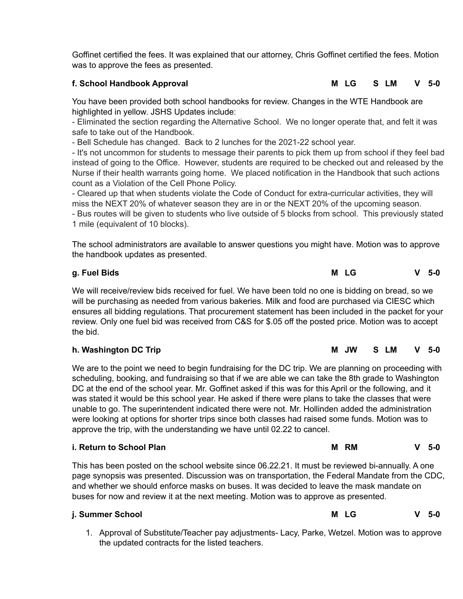Goffinet certified the fees. It was explained that our attorney, Chris Goffinet certified the fees. Motion was to approve the fees as presented.

# **f. School Handbook Approval M LG S LM V 5-0**

You have been provided both school handbooks for review. Changes in the WTE Handbook are highlighted in yellow. JSHS Updates include:

- Eliminated the section regarding the Alternative School. We no longer operate that, and felt it was safe to take out of the Handbook.

- Bell Schedule has changed. Back to 2 lunches for the 2021-22 school year.

- It's not uncommon for students to message their parents to pick them up from school if they feel bad instead of going to the Office. However, students are required to be checked out and released by the Nurse if their health warrants going home. We placed notification in the Handbook that such actions count as a Violation of the Cell Phone Policy.

- Cleared up that when students violate the Code of Conduct for extra-curricular activities, they will miss the NEXT 20% of whatever season they are in or the NEXT 20% of the upcoming season.

- Bus routes will be given to students who live outside of 5 blocks from school. This previously stated 1 mile (equivalent of 10 blocks).

The school administrators are available to answer questions you might have. Motion was to approve the handbook updates as presented.

# **g. Fuel Bids M LG V 5-0**

We will receive/review bids received for fuel. We have been told no one is bidding on bread, so we will be purchasing as needed from various bakeries. Milk and food are purchased via CIESC which ensures all bidding regulations. That procurement statement has been included in the packet for your review. Only one fuel bid was received from C&S for \$.05 off the posted price. Motion was to accept the bid.

# **h. Washington DC Trip M JW S LM V 5-0**

We are to the point we need to begin fundraising for the DC trip. We are planning on proceeding with scheduling, booking, and fundraising so that if we are able we can take the 8th grade to Washington DC at the end of the school year. Mr. Goffinet asked if this was for this April or the following, and it was stated it would be this school year. He asked if there were plans to take the classes that were unable to go. The superintendent indicated there were not. Mr. Hollinden added the administration were looking at options for shorter trips since both classes had raised some funds. Motion was to approve the trip, with the understanding we have until 02.22 to cancel.

# **i. Return to School Plan M RM V 5-0**

This has been posted on the school website since 06.22.21. It must be reviewed bi-annually. A one page synopsis was presented. Discussion was on transportation, the Federal Mandate from the CDC, and whether we should enforce masks on buses. It was decided to leave the mask mandate on buses for now and review it at the next meeting. Motion was to approve as presented.

# **j. Summer School M LG V 5-0**

1. Approval of Substitute/Teacher pay adjustments- Lacy, Parke, Wetzel. Motion was to approve the updated contracts for the listed teachers.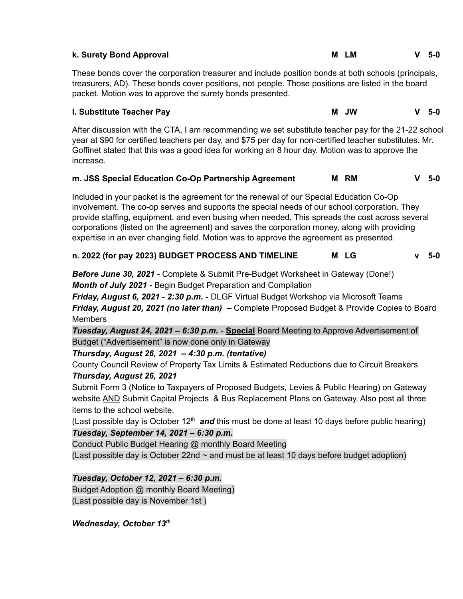| k. Surety Bond Approval                                                                                                                                                                                                                                                                                                        | 1 M<br>м | 5-0 |  |  |  |
|--------------------------------------------------------------------------------------------------------------------------------------------------------------------------------------------------------------------------------------------------------------------------------------------------------------------------------|----------|-----|--|--|--|
| These bonds cover the corporation treasurer and include position bonds at both schools (principals,<br>treasurers, AD). These bonds cover positions, not people. Those positions are listed in the board<br>packet. Motion was to approve the surety bonds presented.                                                          |          |     |  |  |  |
| I. Substitute Teacher Pay                                                                                                                                                                                                                                                                                                      | M JW     | 5-0 |  |  |  |
| After discussion with the CTA, I am recommending we set substitute teacher pay for the 21-22 school<br>year at \$90 for certified teachers per day, and \$75 per day for non-certified teacher substitutes. Mr.<br>Goffinet stated that this was a good idea for working an 8 hour day. Motion was to approve the<br>increase. |          |     |  |  |  |

# **m. JSS Special Education Co-Op Partnership Agreement M RM V 5-0**

Included in your packet is the agreement for the renewal of our Special Education Co-Op involvement. The co-op serves and supports the special needs of our school corporation. They provide staffing, equipment, and even busing when needed. This spreads the cost across several corporations (listed on the agreement) and saves the corporation money, along with providing expertise in an ever changing field. Motion was to approve the agreement as presented.

# **n. 2022 (for pay 2023) BUDGET PROCESS AND TIMELINE M LG v 5-0**

*Before June 30, 2021* - Complete & Submit Pre-Budget Worksheet in Gateway (Done!) *Month of July 2021* **-** Begin Budget Preparation and Compilation

*Friday, August 6, 2021 - 2:30 p.m. -* DLGF Virtual Budget Workshop via Microsoft Teams *Friday, August 20, 2021 (no later than)* – Complete Proposed Budget & Provide Copies to Board **Members** 

*Tuesday, August 24, 2021 – 6:30 p.m.* - **Special** Board Meeting to Approve Advertisement of Budget ("Advertisement" is now done only in Gateway

*Thursday, August 26, 2021 – 4:30 p.m. (tentative)*

County Council Review of Property Tax Limits & Estimated Reductions due to Circuit Breakers *Thursday, August 26, 2021*

Submit Form 3 (Notice to Taxpayers of Proposed Budgets, Levies & Public Hearing) on Gateway website AND Submit Capital Projects & Bus Replacement Plans on Gateway. Also post all three items to the school website.

(Last possible day is October 12<sup>th</sup> and this must be done at least 10 days before public hearing) *Tuesday, September 14, 2021 – 6:30 p.m.*

Conduct Public Budget Hearing @ monthly Board Meeting (Last possible day is October 22nd  $\sim$  and must be at least 10 days before budget adoption)

*Tuesday, October 12, 2021 – 6:30 p.m.* Budget Adoption @ monthly Board Meeting) (Last possible day is November 1st )

*Wednesday, October 13 th*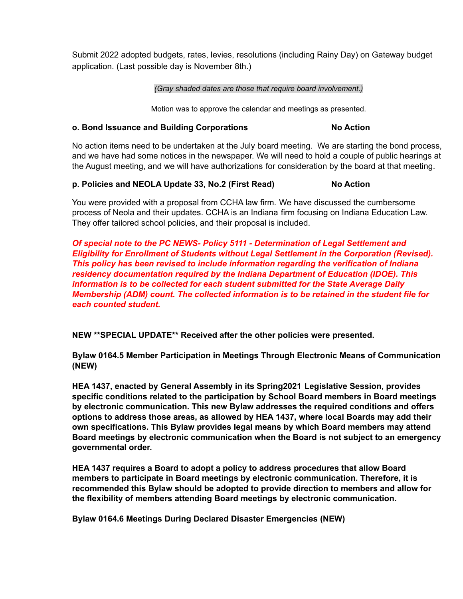Submit 2022 adopted budgets, rates, levies, resolutions (including Rainy Day) on Gateway budget application. (Last possible day is November 8th.)

### *(Gray shaded dates are those that require board involvement.)*

Motion was to approve the calendar and meetings as presented.

## **o. Bond Issuance and Building Corporations No Action**

No action items need to be undertaken at the July board meeting. We are starting the bond process, and we have had some notices in the newspaper. We will need to hold a couple of public hearings at the August meeting, and we will have authorizations for consideration by the board at that meeting.

## **p. Policies and NEOLA Update 33, No.2 (First Read) No Action**

You were provided with a proposal from CCHA law firm. We have discussed the cumbersome process of Neola and their updates. CCHA is an Indiana firm focusing on Indiana Education Law. They offer tailored school policies, and their proposal is included.

*Of special note to the PC NEWS- Policy 5111 - Determination of Legal Settlement and Eligibility for Enrollment of Students without Legal Settlement in the Corporation (Revised). This policy has been revised to include information regarding the verification of Indiana residency documentation required by the Indiana Department of Education (IDOE). This information is to be collected for each student submitted for the State Average Daily Membership (ADM) count. The collected information is to be retained in the student file for each counted student.*

**NEW \*\*SPECIAL UPDATE\*\* Received after the other policies were presented.**

**Bylaw 0164.5 Member Participation in Meetings Through Electronic Means of Communication (NEW)**

**HEA 1437, enacted by General Assembly in its Spring2021 Legislative Session, provides specific conditions related to the participation by School Board members in Board meetings by electronic communication. This new Bylaw addresses the required conditions and offers options to address those areas, as allowed by HEA 1437, where local Boards may add their own specifications. This Bylaw provides legal means by which Board members may attend Board meetings by electronic communication when the Board is not subject to an emergency governmental order.**

**HEA 1437 requires a Board to adopt a policy to address procedures that allow Board members to participate in Board meetings by electronic communication. Therefore, it is recommended this Bylaw should be adopted to provide direction to members and allow for the flexibility of members attending Board meetings by electronic communication.**

**Bylaw 0164.6 Meetings During Declared Disaster Emergencies (NEW)**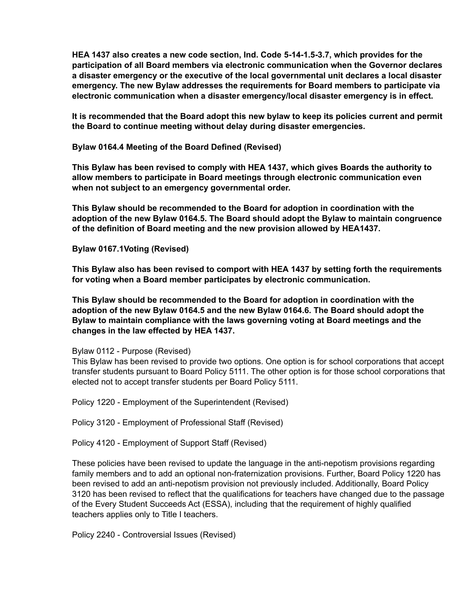**HEA 1437 also creates a new code section, Ind. Code 5-14-1.5-3.7, which provides for the participation of all Board members via electronic communication when the Governor declares a disaster emergency or the executive of the local governmental unit declares a local disaster emergency. The new Bylaw addresses the requirements for Board members to participate via electronic communication when a disaster emergency/local disaster emergency is in effect.**

**It is recommended that the Board adopt this new bylaw to keep its policies current and permit the Board to continue meeting without delay during disaster emergencies.**

**Bylaw 0164.4 Meeting of the Board Defined (Revised)**

**This Bylaw has been revised to comply with HEA 1437, which gives Boards the authority to allow members to participate in Board meetings through electronic communication even when not subject to an emergency governmental order.**

**This Bylaw should be recommended to the Board for adoption in coordination with the adoption of the new Bylaw 0164.5. The Board should adopt the Bylaw to maintain congruence of the definition of Board meeting and the new provision allowed by HEA1437.**

**Bylaw 0167.1Voting (Revised)**

**This Bylaw also has been revised to comport with HEA 1437 by setting forth the requirements for voting when a Board member participates by electronic communication.**

**This Bylaw should be recommended to the Board for adoption in coordination with the adoption of the new Bylaw 0164.5 and the new Bylaw 0164.6. The Board should adopt the Bylaw to maintain compliance with the laws governing voting at Board meetings and the changes in the law effected by HEA 1437.**

Bylaw 0112 - Purpose (Revised)

This Bylaw has been revised to provide two options. One option is for school corporations that accept transfer students pursuant to Board Policy 5111. The other option is for those school corporations that elected not to accept transfer students per Board Policy 5111.

Policy 1220 - Employment of the Superintendent (Revised)

Policy 3120 - Employment of Professional Staff (Revised)

Policy 4120 - Employment of Support Staff (Revised)

These policies have been revised to update the language in the anti-nepotism provisions regarding family members and to add an optional non-fraternization provisions. Further, Board Policy 1220 has been revised to add an anti-nepotism provision not previously included. Additionally, Board Policy 3120 has been revised to reflect that the qualifications for teachers have changed due to the passage of the Every Student Succeeds Act (ESSA), including that the requirement of highly qualified teachers applies only to Title I teachers.

Policy 2240 - Controversial Issues (Revised)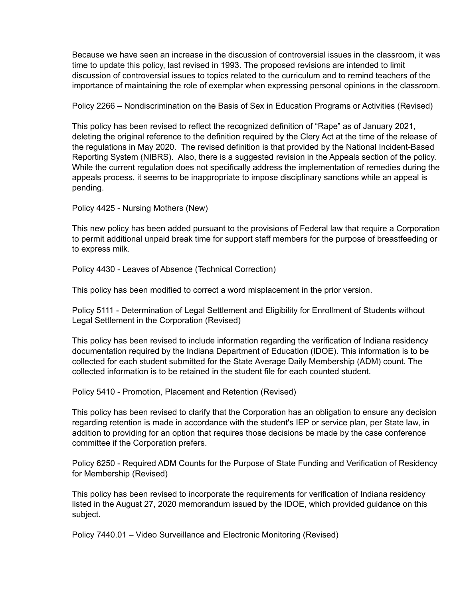Because we have seen an increase in the discussion of controversial issues in the classroom, it was time to update this policy, last revised in 1993. The proposed revisions are intended to limit discussion of controversial issues to topics related to the curriculum and to remind teachers of the importance of maintaining the role of exemplar when expressing personal opinions in the classroom.

Policy 2266 – Nondiscrimination on the Basis of Sex in Education Programs or Activities (Revised)

This policy has been revised to reflect the recognized definition of "Rape" as of January 2021, deleting the original reference to the definition required by the Clery Act at the time of the release of the regulations in May 2020. The revised definition is that provided by the National Incident-Based Reporting System (NIBRS). Also, there is a suggested revision in the Appeals section of the policy. While the current regulation does not specifically address the implementation of remedies during the appeals process, it seems to be inappropriate to impose disciplinary sanctions while an appeal is pending.

Policy 4425 - Nursing Mothers (New)

This new policy has been added pursuant to the provisions of Federal law that require a Corporation to permit additional unpaid break time for support staff members for the purpose of breastfeeding or to express milk.

Policy 4430 - Leaves of Absence (Technical Correction)

This policy has been modified to correct a word misplacement in the prior version.

Policy 5111 - Determination of Legal Settlement and Eligibility for Enrollment of Students without Legal Settlement in the Corporation (Revised)

This policy has been revised to include information regarding the verification of Indiana residency documentation required by the Indiana Department of Education (IDOE). This information is to be collected for each student submitted for the State Average Daily Membership (ADM) count. The collected information is to be retained in the student file for each counted student.

Policy 5410 - Promotion, Placement and Retention (Revised)

This policy has been revised to clarify that the Corporation has an obligation to ensure any decision regarding retention is made in accordance with the student's IEP or service plan, per State law, in addition to providing for an option that requires those decisions be made by the case conference committee if the Corporation prefers.

Policy 6250 - Required ADM Counts for the Purpose of State Funding and Verification of Residency for Membership (Revised)

This policy has been revised to incorporate the requirements for verification of Indiana residency listed in the August 27, 2020 memorandum issued by the IDOE, which provided guidance on this subject.

Policy 7440.01 – Video Surveillance and Electronic Monitoring (Revised)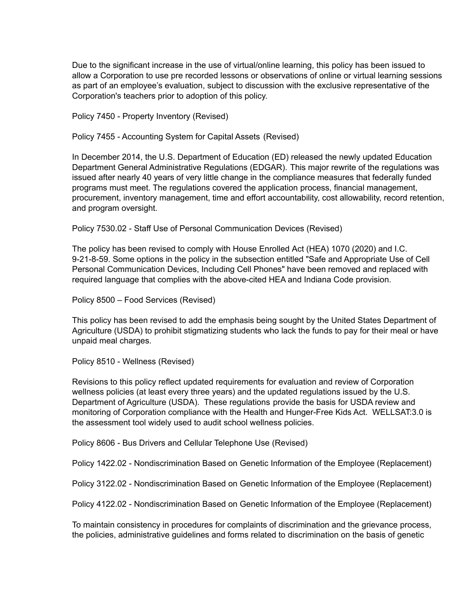Due to the significant increase in the use of virtual/online learning, this policy has been issued to allow a Corporation to use pre recorded lessons or observations of online or virtual learning sessions as part of an employee's evaluation, subject to discussion with the exclusive representative of the Corporation's teachers prior to adoption of this policy.

Policy 7450 - Property Inventory (Revised)

Policy 7455 - Accounting System for Capital Assets (Revised)

In December 2014, the U.S. Department of Education (ED) released the newly updated Education Department General Administrative Regulations (EDGAR). This major rewrite of the regulations was issued after nearly 40 years of very little change in the compliance measures that federally funded programs must meet. The regulations covered the application process, financial management, procurement, inventory management, time and effort accountability, cost allowability, record retention, and program oversight.

Policy 7530.02 - Staff Use of Personal Communication Devices (Revised)

The policy has been revised to comply with House Enrolled Act (HEA) 1070 (2020) and I.C. 9-21-8-59. Some options in the policy in the subsection entitled "Safe and Appropriate Use of Cell Personal Communication Devices, Including Cell Phones" have been removed and replaced with required language that complies with the above-cited HEA and Indiana Code provision.

Policy 8500 – Food Services (Revised)

This policy has been revised to add the emphasis being sought by the United States Department of Agriculture (USDA) to prohibit stigmatizing students who lack the funds to pay for their meal or have unpaid meal charges.

Policy 8510 - Wellness (Revised)

Revisions to this policy reflect updated requirements for evaluation and review of Corporation wellness policies (at least every three years) and the updated regulations issued by the U.S. Department of Agriculture (USDA). These regulations provide the basis for USDA review and monitoring of Corporation compliance with the Health and Hunger-Free Kids Act. WELLSAT:3.0 is the assessment tool widely used to audit school wellness policies.

Policy 8606 - Bus Drivers and Cellular Telephone Use (Revised)

Policy 1422.02 - Nondiscrimination Based on Genetic Information of the Employee (Replacement)

Policy 3122.02 - Nondiscrimination Based on Genetic Information of the Employee (Replacement)

Policy 4122.02 - Nondiscrimination Based on Genetic Information of the Employee (Replacement)

To maintain consistency in procedures for complaints of discrimination and the grievance process, the policies, administrative guidelines and forms related to discrimination on the basis of genetic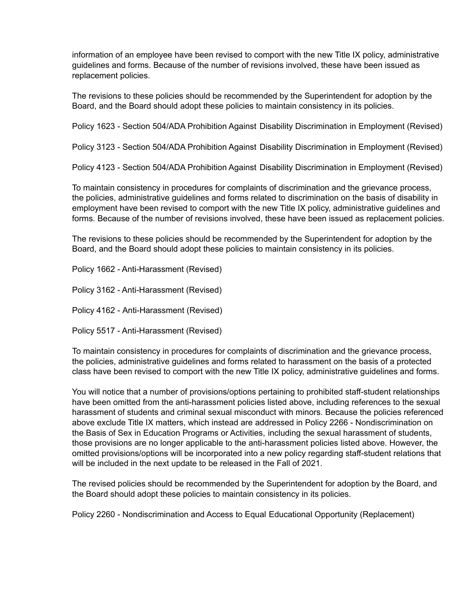information of an employee have been revised to comport with the new Title IX policy, administrative guidelines and forms. Because of the number of revisions involved, these have been issued as replacement policies.

The revisions to these policies should be recommended by the Superintendent for adoption by the Board, and the Board should adopt these policies to maintain consistency in its policies.

Policy 1623 - Section 504/ADA Prohibition Against Disability Discrimination in Employment (Revised)

Policy 3123 - Section 504/ADA Prohibition Against Disability Discrimination in Employment (Revised)

Policy 4123 - Section 504/ADA Prohibition Against Disability Discrimination in Employment (Revised)

To maintain consistency in procedures for complaints of discrimination and the grievance process, the policies, administrative guidelines and forms related to discrimination on the basis of disability in employment have been revised to comport with the new Title IX policy, administrative guidelines and forms. Because of the number of revisions involved, these have been issued as replacement policies.

The revisions to these policies should be recommended by the Superintendent for adoption by the Board, and the Board should adopt these policies to maintain consistency in its policies.

Policy 1662 - Anti-Harassment (Revised)

Policy 3162 - Anti-Harassment (Revised)

Policy 4162 - Anti-Harassment (Revised)

Policy 5517 - Anti-Harassment (Revised)

To maintain consistency in procedures for complaints of discrimination and the grievance process, the policies, administrative guidelines and forms related to harassment on the basis of a protected class have been revised to comport with the new Title IX policy, administrative guidelines and forms.

You will notice that a number of provisions/options pertaining to prohibited staff-student relationships have been omitted from the anti-harassment policies listed above, including references to the sexual harassment of students and criminal sexual misconduct with minors. Because the policies referenced above exclude Title IX matters, which instead are addressed in Policy 2266 - Nondiscrimination on the Basis of Sex in Education Programs or Activities, including the sexual harassment of students, those provisions are no longer applicable to the anti-harassment policies listed above. However, the omitted provisions/options will be incorporated into a new policy regarding staff-student relations that will be included in the next update to be released in the Fall of 2021.

The revised policies should be recommended by the Superintendent for adoption by the Board, and the Board should adopt these policies to maintain consistency in its policies.

Policy 2260 - Nondiscrimination and Access to Equal Educational Opportunity (Replacement)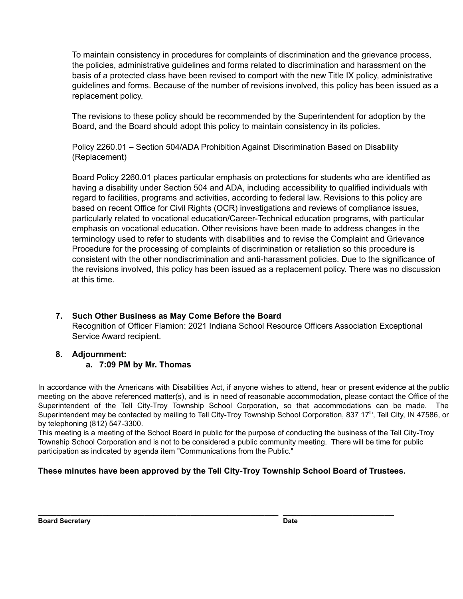To maintain consistency in procedures for complaints of discrimination and the grievance process, the policies, administrative guidelines and forms related to discrimination and harassment on the basis of a protected class have been revised to comport with the new Title IX policy, administrative guidelines and forms. Because of the number of revisions involved, this policy has been issued as a replacement policy.

The revisions to these policy should be recommended by the Superintendent for adoption by the Board, and the Board should adopt this policy to maintain consistency in its policies.

Policy 2260.01 – Section 504/ADA Prohibition Against Discrimination Based on Disability (Replacement)

Board Policy 2260.01 places particular emphasis on protections for students who are identified as having a disability under Section 504 and ADA, including accessibility to qualified individuals with regard to facilities, programs and activities, according to federal law. Revisions to this policy are based on recent Office for Civil Rights (OCR) investigations and reviews of compliance issues, particularly related to vocational education/Career-Technical education programs, with particular emphasis on vocational education. Other revisions have been made to address changes in the terminology used to refer to students with disabilities and to revise the Complaint and Grievance Procedure for the processing of complaints of discrimination or retaliation so this procedure is consistent with the other nondiscrimination and anti-harassment policies. Due to the significance of the revisions involved, this policy has been issued as a replacement policy. There was no discussion at this time.

**7. Such Other Business as May Come Before the Board** Recognition of Officer Flamion: 2021 Indiana School Resource Officers Association Exceptional Service Award recipient.

# **8. Adjournment:**

# **a. 7:09 PM by Mr. Thomas**

In accordance with the Americans with Disabilities Act, if anyone wishes to attend, hear or present evidence at the public meeting on the above referenced matter(s), and is in need of reasonable accommodation, please contact the Office of the Superintendent of the Tell City-Troy Township School Corporation, so that accommodations can be made. The Superintendent may be contacted by mailing to Tell City-Troy Township School Corporation, 837 17<sup>th</sup>, Tell City, IN 47586, or by telephoning (812) 547-3300.

This meeting is a meeting of the School Board in public for the purpose of conducting the business of the Tell City-Troy Township School Corporation and is not to be considered a public community meeting. There will be time for public participation as indicated by agenda item "Communications from the Public."

# **These minutes have been approved by the Tell City-Troy Township School Board of Trustees.**

**\_\_\_\_\_\_\_\_\_\_\_\_\_\_\_\_\_\_\_\_\_\_\_\_\_\_\_\_\_\_\_\_\_\_\_\_\_\_\_\_\_\_\_\_\_\_\_\_\_\_\_\_ \_\_\_\_\_\_\_\_\_\_\_\_\_\_\_\_\_\_\_\_\_\_\_\_**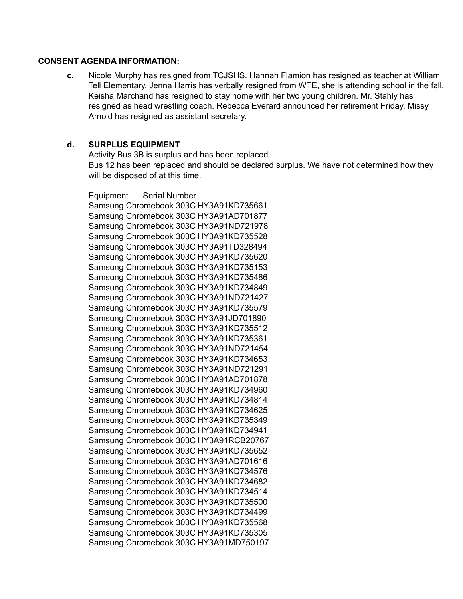### **CONSENT AGENDA INFORMATION:**

**c.** Nicole Murphy has resigned from TCJSHS. Hannah Flamion has resigned as teacher at William Tell Elementary. Jenna Harris has verbally resigned from WTE, she is attending school in the fall. Keisha Marchand has resigned to stay home with her two young children. Mr. Stahly has resigned as head wrestling coach. Rebecca Everard announced her retirement Friday. Missy Arnold has resigned as assistant secretary.

## **d. SURPLUS EQUIPMENT**

Activity Bus 3B is surplus and has been replaced. Bus 12 has been replaced and should be declared surplus. We have not determined how they will be disposed of at this time.

Equipment Serial Number Samsung Chromebook 303C HY3A91KD735661 Samsung Chromebook 303C HY3A91AD701877 Samsung Chromebook 303C HY3A91ND721978 Samsung Chromebook 303C HY3A91KD735528 Samsung Chromebook 303C HY3A91TD328494 Samsung Chromebook 303C HY3A91KD735620 Samsung Chromebook 303C HY3A91KD735153 Samsung Chromebook 303C HY3A91KD735486 Samsung Chromebook 303C HY3A91KD734849 Samsung Chromebook 303C HY3A91ND721427 Samsung Chromebook 303C HY3A91KD735579 Samsung Chromebook 303C HY3A91JD701890 Samsung Chromebook 303C HY3A91KD735512 Samsung Chromebook 303C HY3A91KD735361 Samsung Chromebook 303C HY3A91ND721454 Samsung Chromebook 303C HY3A91KD734653 Samsung Chromebook 303C HY3A91ND721291 Samsung Chromebook 303C HY3A91AD701878 Samsung Chromebook 303C HY3A91KD734960 Samsung Chromebook 303C HY3A91KD734814 Samsung Chromebook 303C HY3A91KD734625 Samsung Chromebook 303C HY3A91KD735349 Samsung Chromebook 303C HY3A91KD734941 Samsung Chromebook 303C HY3A91RCB20767 Samsung Chromebook 303C HY3A91KD735652 Samsung Chromebook 303C HY3A91AD701616 Samsung Chromebook 303C HY3A91KD734576 Samsung Chromebook 303C HY3A91KD734682 Samsung Chromebook 303C HY3A91KD734514 Samsung Chromebook 303C HY3A91KD735500 Samsung Chromebook 303C HY3A91KD734499 Samsung Chromebook 303C HY3A91KD735568 Samsung Chromebook 303C HY3A91KD735305 Samsung Chromebook 303C HY3A91MD750197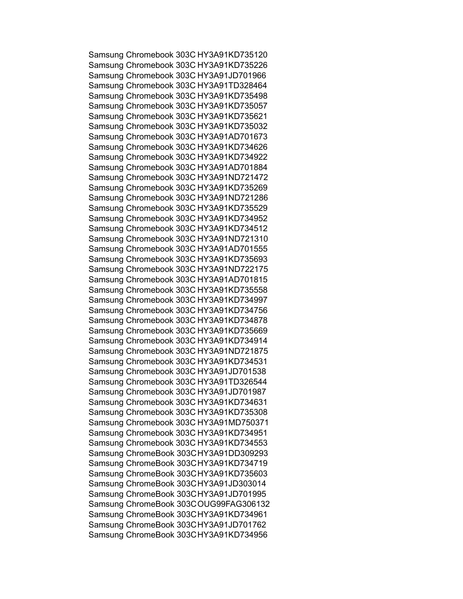Samsung Chromebook 303C HY3A91KD735120 Samsung Chromebook 303C HY3A91KD735226 Samsung Chromebook 303C HY3A91JD701966 Samsung Chromebook 303C HY3A91TD328464 Samsung Chromebook 303C HY3A91KD735498 Samsung Chromebook 303C HY3A91KD735057 Samsung Chromebook 303C HY3A91KD735621 Samsung Chromebook 303C HY3A91KD735032 Samsung Chromebook 303C HY3A91AD701673 Samsung Chromebook 303C HY3A91KD734626 Samsung Chromebook 303C HY3A91KD734922 Samsung Chromebook 303C HY3A91AD701884 Samsung Chromebook 303C HY3A91ND721472 Samsung Chromebook 303C HY3A91KD735269 Samsung Chromebook 303C HY3A91ND721286 Samsung Chromebook 303C HY3A91KD735529 Samsung Chromebook 303C HY3A91KD734952 Samsung Chromebook 303C HY3A91KD734512 Samsung Chromebook 303C HY3A91ND721310 Samsung Chromebook 303C HY3A91AD701555 Samsung Chromebook 303C HY3A91KD735693 Samsung Chromebook 303C HY3A91ND722175 Samsung Chromebook 303C HY3A91AD701815 Samsung Chromebook 303C HY3A91KD735558 Samsung Chromebook 303C HY3A91KD734997 Samsung Chromebook 303C HY3A91KD734756 Samsung Chromebook 303C HY3A91KD734878 Samsung Chromebook 303C HY3A91KD735669 Samsung Chromebook 303C HY3A91KD734914 Samsung Chromebook 303C HY3A91ND721875 Samsung Chromebook 303C HY3A91KD734531 Samsung Chromebook 303C HY3A91JD701538 Samsung Chromebook 303C HY3A91TD326544 Samsung Chromebook 303C HY3A91JD701987 Samsung Chromebook 303C HY3A91KD734631 Samsung Chromebook 303C HY3A91KD735308 Samsung Chromebook 303C HY3A91MD750371 Samsung Chromebook 303C HY3A91KD734951 Samsung Chromebook 303C HY3A91KD734553 Samsung ChromeBook 303CHY3A91DD309293 Samsung ChromeBook 303CHY3A91KD734719 Samsung ChromeBook 303CHY3A91KD735603 Samsung ChromeBook 303CHY3A91JD303014 Samsung ChromeBook 303CHY3A91JD701995 Samsung ChromeBook 303COUG99FAG306132 Samsung ChromeBook 303CHY3A91KD734961 Samsung ChromeBook 303CHY3A91JD701762 Samsung ChromeBook 303CHY3A91KD734956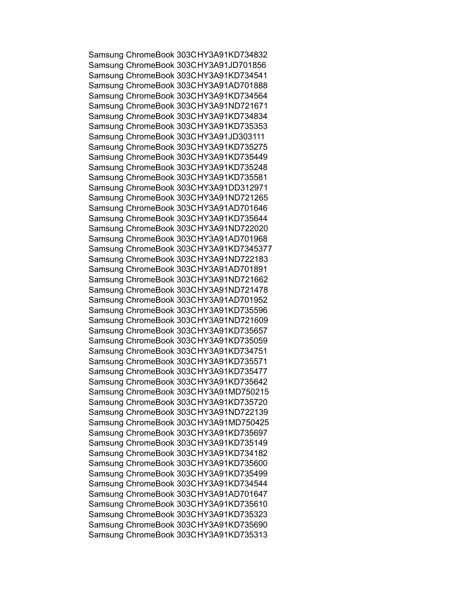Samsung ChromeBook 303CHY3A91KD734832 Samsung ChromeBook 303CHY3A91JD701856 Samsung ChromeBook 303CHY3A91KD734541 Samsung ChromeBook 303CHY3A91AD701888 Samsung ChromeBook 303CHY3A91KD734564 Samsung ChromeBook 303CHY3A91ND721671 Samsung ChromeBook 303CHY3A91KD734834 Samsung ChromeBook 303CHY3A91KD735353 Samsung ChromeBook 303CHY3A91JD303111 Samsung ChromeBook 303CHY3A91KD735275 Samsung ChromeBook 303CHY3A91KD735449 Samsung ChromeBook 303CHY3A91KD735248 Samsung ChromeBook 303CHY3A91KD735581 Samsung ChromeBook 303CHY3A91DD312971 Samsung ChromeBook 303CHY3A91ND721265 Samsung ChromeBook 303CHY3A91AD701646 Samsung ChromeBook 303CHY3A91KD735644 Samsung ChromeBook 303CHY3A91ND722020 Samsung ChromeBook 303CHY3A91AD701968 Samsung ChromeBook 303CHY3A91KD7345377 Samsung ChromeBook 303CHY3A91ND722183 Samsung ChromeBook 303CHY3A91AD701891 Samsung ChromeBook 303CHY3A91ND721662 Samsung ChromeBook 303CHY3A91ND721478 Samsung ChromeBook 303CHY3A91AD701952 Samsung ChromeBook 303CHY3A91KD735596 Samsung ChromeBook 303CHY3A91ND721609 Samsung ChromeBook 303CHY3A91KD735657 Samsung ChromeBook 303CHY3A91KD735059 Samsung ChromeBook 303CHY3A91KD734751 Samsung ChromeBook 303CHY3A91KD735571 Samsung ChromeBook 303CHY3A91KD735477 Samsung ChromeBook 303CHY3A91KD735642 Samsung ChromeBook 303CHY3A91MD750215 Samsung ChromeBook 303CHY3A91KD735720 Samsung ChromeBook 303CHY3A91ND722139 Samsung ChromeBook 303CHY3A91MD750425 Samsung ChromeBook 303CHY3A91KD735697 Samsung ChromeBook 303CHY3A91KD735149 Samsung ChromeBook 303CHY3A91KD734182 Samsung ChromeBook 303CHY3A91KD735600 Samsung ChromeBook 303CHY3A91KD735499 Samsung ChromeBook 303CHY3A91KD734544 Samsung ChromeBook 303CHY3A91AD701647 Samsung ChromeBook 303CHY3A91KD735610 Samsung ChromeBook 303CHY3A91KD735323 Samsung ChromeBook 303CHY3A91KD735690 Samsung ChromeBook 303CHY3A91KD735313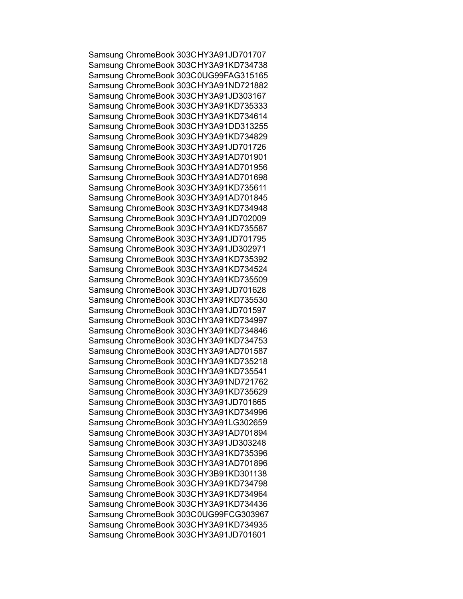Samsung ChromeBook 303CHY3A91JD701707 Samsung ChromeBook 303CHY3A91KD734738 Samsung ChromeBook 303C0UG99FAG315165 Samsung ChromeBook 303CHY3A91ND721882 Samsung ChromeBook 303CHY3A91JD303167 Samsung ChromeBook 303CHY3A91KD735333 Samsung ChromeBook 303CHY3A91KD734614 Samsung ChromeBook 303CHY3A91DD313255 Samsung ChromeBook 303CHY3A91KD734829 Samsung ChromeBook 303CHY3A91JD701726 Samsung ChromeBook 303CHY3A91AD701901 Samsung ChromeBook 303CHY3A91AD701956 Samsung ChromeBook 303CHY3A91AD701698 Samsung ChromeBook 303CHY3A91KD735611 Samsung ChromeBook 303CHY3A91AD701845 Samsung ChromeBook 303CHY3A91KD734948 Samsung ChromeBook 303CHY3A91JD702009 Samsung ChromeBook 303CHY3A91KD735587 Samsung ChromeBook 303CHY3A91JD701795 Samsung ChromeBook 303CHY3A91JD302971 Samsung ChromeBook 303CHY3A91KD735392 Samsung ChromeBook 303CHY3A91KD734524 Samsung ChromeBook 303CHY3A91KD735509 Samsung ChromeBook 303CHY3A91JD701628 Samsung ChromeBook 303CHY3A91KD735530 Samsung ChromeBook 303CHY3A91JD701597 Samsung ChromeBook 303CHY3A91KD734997 Samsung ChromeBook 303CHY3A91KD734846 Samsung ChromeBook 303CHY3A91KD734753 Samsung ChromeBook 303CHY3A91AD701587 Samsung ChromeBook 303CHY3A91KD735218 Samsung ChromeBook 303CHY3A91KD735541 Samsung ChromeBook 303CHY3A91ND721762 Samsung ChromeBook 303CHY3A91KD735629 Samsung ChromeBook 303CHY3A91JD701665 Samsung ChromeBook 303CHY3A91KD734996 Samsung ChromeBook 303CHY3A91LG302659 Samsung ChromeBook 303CHY3A91AD701894 Samsung ChromeBook 303CHY3A91JD303248 Samsung ChromeBook 303CHY3A91KD735396 Samsung ChromeBook 303CHY3A91AD701896 Samsung ChromeBook 303CHY3B91KD301138 Samsung ChromeBook 303CHY3A91KD734798 Samsung ChromeBook 303CHY3A91KD734964 Samsung ChromeBook 303CHY3A91KD734436 Samsung ChromeBook 303C0UG99FCG303967 Samsung ChromeBook 303CHY3A91KD734935 Samsung ChromeBook 303CHY3A91JD701601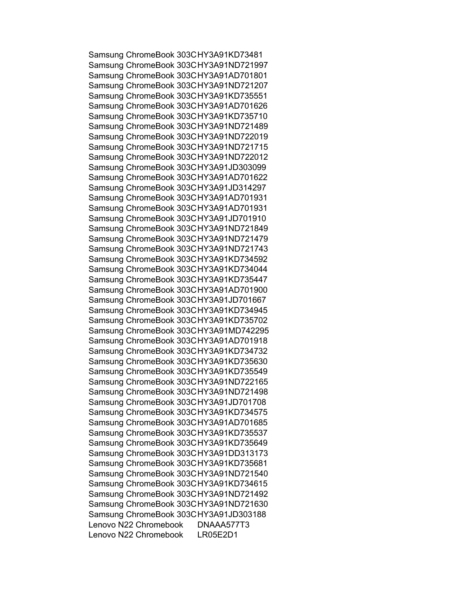Samsung ChromeBook 303CHY3A91KD73481 Samsung ChromeBook 303CHY3A91ND721997 Samsung ChromeBook 303CHY3A91AD701801 Samsung ChromeBook 303CHY3A91ND721207 Samsung ChromeBook 303CHY3A91KD735551 Samsung ChromeBook 303CHY3A91AD701626 Samsung ChromeBook 303CHY3A91KD735710 Samsung ChromeBook 303CHY3A91ND721489 Samsung ChromeBook 303CHY3A91ND722019 Samsung ChromeBook 303CHY3A91ND721715 Samsung ChromeBook 303CHY3A91ND722012 Samsung ChromeBook 303CHY3A91JD303099 Samsung ChromeBook 303CHY3A91AD701622 Samsung ChromeBook 303CHY3A91JD314297 Samsung ChromeBook 303CHY3A91AD701931 Samsung ChromeBook 303CHY3A91AD701931 Samsung ChromeBook 303CHY3A91JD701910 Samsung ChromeBook 303CHY3A91ND721849 Samsung ChromeBook 303CHY3A91ND721479 Samsung ChromeBook 303CHY3A91ND721743 Samsung ChromeBook 303CHY3A91KD734592 Samsung ChromeBook 303CHY3A91KD734044 Samsung ChromeBook 303CHY3A91KD735447 Samsung ChromeBook 303CHY3A91AD701900 Samsung ChromeBook 303CHY3A91JD701667 Samsung ChromeBook 303CHY3A91KD734945 Samsung ChromeBook 303CHY3A91KD735702 Samsung ChromeBook 303CHY3A91MD742295 Samsung ChromeBook 303CHY3A91AD701918 Samsung ChromeBook 303CHY3A91KD734732 Samsung ChromeBook 303CHY3A91KD735630 Samsung ChromeBook 303CHY3A91KD735549 Samsung ChromeBook 303CHY3A91ND722165 Samsung ChromeBook 303CHY3A91ND721498 Samsung ChromeBook 303CHY3A91JD701708 Samsung ChromeBook 303CHY3A91KD734575 Samsung ChromeBook 303CHY3A91AD701685 Samsung ChromeBook 303CHY3A91KD735537 Samsung ChromeBook 303CHY3A91KD735649 Samsung ChromeBook 303CHY3A91DD313173 Samsung ChromeBook 303CHY3A91KD735681 Samsung ChromeBook 303CHY3A91ND721540 Samsung ChromeBook 303CHY3A91KD734615 Samsung ChromeBook 303CHY3A91ND721492 Samsung ChromeBook 303CHY3A91ND721630 Samsung ChromeBook 303CHY3A91JD303188 Lenovo N22 Chromebook DNAAA577T3 Lenovo N22 Chromebook LR05E2D1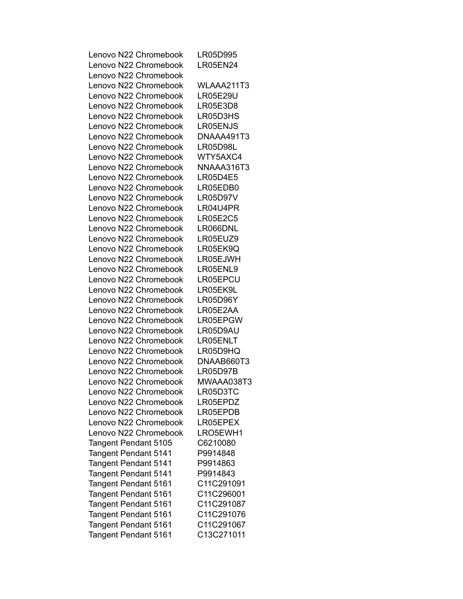| Lenovo N22 Chromebook       | LR05D995        |
|-----------------------------|-----------------|
| Lenovo N22 Chromebook       | <b>LR05EN24</b> |
| Lenovo N22 Chromebook       |                 |
| Lenovo N22 Chromebook       | WLAAA211T3      |
| Lenovo N22 Chromebook       | <b>LR05E29U</b> |
| Lenovo N22 Chromebook       | LR05E3D8        |
| Lenovo N22 Chromebook       | LR05D3HS        |
| Lenovo N22 Chromebook       | LR05ENJS        |
| Lenovo N22 Chromebook       | DNAAA491T3      |
| Lenovo N22 Chromebook       | LR05D98L        |
| Lenovo N22 Chromebook       | WTY5AXC4        |
| Lenovo N22 Chromebook       | NNAAA316T3      |
| Lenovo N22 Chromebook       | <b>LR05D4E5</b> |
| Lenovo N22 Chromebook       | LR05EDB0        |
| Lenovo N22 Chromebook       | <b>LR05D97V</b> |
| Lenovo N22 Chromebook       | LR04U4PR        |
| Lenovo N22 Chromebook       | <b>LR05E2C5</b> |
| Lenovo N22 Chromebook       | LR066DNL        |
| Lenovo N22 Chromebook       | LR05EUZ9        |
| Lenovo N22 Chromebook       | LR05EK9Q        |
| Lenovo N22 Chromebook       | LR05EJWH        |
| Lenovo N22 Chromebook       | LR05ENL9        |
| Lenovo N22 Chromebook       | LR05EPCU        |
| Lenovo N22 Chromebook       | LR05EK9L        |
| Lenovo N22 Chromebook       | LR05D96Y        |
| Lenovo N22 Chromebook       | LR05E2AA        |
| Lenovo N22 Chromebook       | LR05EPGW        |
| Lenovo N22 Chromebook       | LR05D9AU        |
| Lenovo N22 Chromebook       | LR05ENLT        |
| Lenovo N22 Chromebook       | LR05D9HQ        |
| Lenovo N22 Chromebook       | DNAAB660T3      |
| Lenovo N22 Chromebook       | LR05D97B        |
| Lenovo N22 Chromebook       | MWAAA038T3      |
| Lenovo N22 Chromebook       | LR05D3TC        |
| Lenovo N22 Chromebook       | LR05EPDZ        |
| Lenovo N22 Chromebook       | LR05EPDB        |
| Lenovo N22 Chromebook       | LR05EPEX        |
|                             |                 |
| Lenovo N22 Chromebook       | LRO5EWH1        |
| Tangent Pendant 5105        | C6210080        |
| <b>Tangent Pendant 5141</b> | P9914848        |
| Tangent Pendant 5141        | P9914863        |
| Tangent Pendant 5141        | P9914843        |
| Tangent Pendant 5161        | C11C291091      |
| <b>Tangent Pendant 5161</b> | C11C296001      |
| <b>Tangent Pendant 5161</b> | C11C291087      |
| Tangent Pendant 5161        | C11C291076      |
| Tangent Pendant 5161        | C11C291067      |
| Tangent Pendant 5161        | C13C271011      |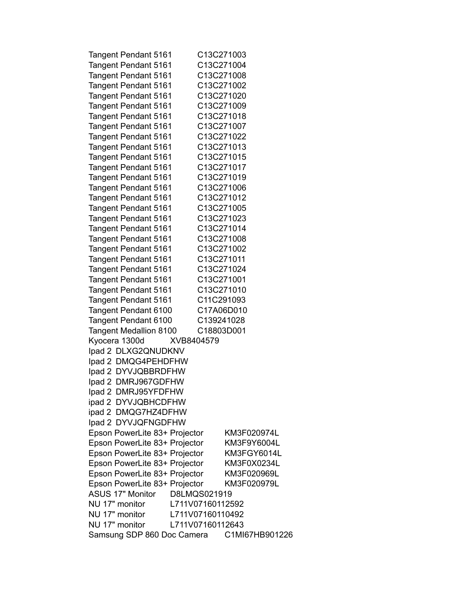| Tangent Pendant 5161          | C13C271003       |                |
|-------------------------------|------------------|----------------|
| <b>Tangent Pendant 5161</b>   | C13C271004       |                |
| Tangent Pendant 5161          | C13C271008       |                |
| <b>Tangent Pendant 5161</b>   | C13C271002       |                |
| <b>Tangent Pendant 5161</b>   | C13C271020       |                |
| Tangent Pendant 5161          | C13C271009       |                |
| Tangent Pendant 5161          | C13C271018       |                |
| <b>Tangent Pendant 5161</b>   | C13C271007       |                |
| Tangent Pendant 5161          | C13C271022       |                |
| Tangent Pendant 5161          | C13C271013       |                |
|                               | C13C271015       |                |
| Tangent Pendant 5161          |                  |                |
| <b>Tangent Pendant 5161</b>   | C13C271017       |                |
| <b>Tangent Pendant 5161</b>   | C13C271019       |                |
| Tangent Pendant 5161          | C13C271006       |                |
| Tangent Pendant 5161          | C13C271012       |                |
| Tangent Pendant 5161          | C13C271005       |                |
| Tangent Pendant 5161          | C13C271023       |                |
| Tangent Pendant 5161          | C13C271014       |                |
| Tangent Pendant 5161          | C13C271008       |                |
| Tangent Pendant 5161          | C13C271002       |                |
| Tangent Pendant 5161          | C13C271011       |                |
| Tangent Pendant 5161          | C13C271024       |                |
| Tangent Pendant 5161          | C13C271001       |                |
| <b>Tangent Pendant 5161</b>   | C13C271010       |                |
| Tangent Pendant 5161          | C11C291093       |                |
| Tangent Pendant 6100          | C17A06D010       |                |
| Tangent Pendant 6100          | C139241028       |                |
| <b>Tangent Medallion 8100</b> | C18803D001       |                |
| Kyocera 1300d                 | XVB8404579       |                |
| Ipad 2 DLXG2QNUDKNV           |                  |                |
| Ipad 2 DMQG4PEHDFHW           |                  |                |
| Ipad 2 DYVJQBBRDFHW           |                  |                |
|                               |                  |                |
| Ipad 2 DMRJ967GDFHW           |                  |                |
| Ipad 2 DMRJ95YFDFHW           |                  |                |
| ipad 2 DYVJQBHCDFHW           |                  |                |
| ipad 2 DMQG7HZ4DFHW           |                  |                |
| Ipad 2 DYVJQFNGDFHW           |                  |                |
| Epson PowerLite 83+ Projector |                  | KM3F020974L    |
| Epson PowerLite 83+ Projector |                  | KM3F9Y6004L    |
| Epson PowerLite 83+ Projector |                  | KM3FGY6014L    |
| Epson PowerLite 83+ Projector |                  | KM3F0X0234L    |
| Epson PowerLite 83+ Projector |                  | KM3F020969L    |
| Epson PowerLite 83+ Projector |                  | KM3F020979L    |
| <b>ASUS 17" Monitor</b>       | D8LMQS021919     |                |
| NU 17" monitor                | L711V07160112592 |                |
| NU 17" monitor                | L711V07160110492 |                |
| NU 17" monitor                | L711V07160112643 |                |
| Samsung SDP 860 Doc Camera    |                  | C1MI67HB901226 |
|                               |                  |                |